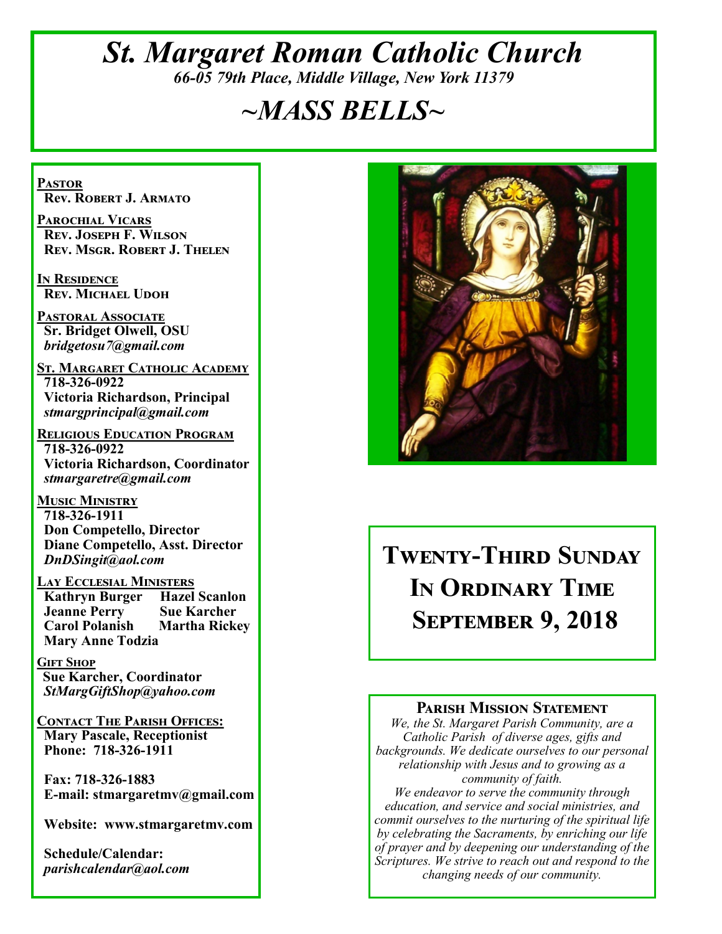# *St. Margaret Roman Catholic Church 66-05 79th Place, Middle Village, New York 11379*

# *~MASS BELLS~*

**Pastor Rev. Robert J. Armato**

**Parochial Vicars Rev. Joseph F. Wilson Rev. Msgr. Robert J. Thelen**

**In Residence Rev. Michael Udoh**

**Pastoral Associate Sr. Bridget Olwell, OSU**  *bridgetosu7@gmail.com*

**St. Margaret Catholic Academy 718-326-0922 Victoria Richardson, Principal**  *stmargprincipal@gmail.com*

**Religious Education Program 718-326-0922 Victoria Richardson, Coordinator** *stmargaretre@gmail.com*

**Music Ministry 718-326-1911 Don Competello, Director Diane Competello, Asst. Director** *DnDSingit@aol.com*

**Lay Ecclesial Ministers Kathryn Burger Jeanne Perry Sue Karcher Carol Polanish Martha Rickey Mary Anne Todzia**

**Gift Shop Sue Karcher, Coordinator** *StMargGiftShop@yahoo.com*

**Contact The Parish Offices: Mary Pascale, Receptionist Phone: 718-326-1911** 

 **Fax: 718-326-1883 E-mail: stmargaretmv@gmail.com**

 **Website: www.stmargaretmv.com**

 **Schedule/Calendar:** *parishcalendar@aol.com* 



# **Twenty-Third Sunday In Ordinary Time September 9, 2018**

#### **Parish Mission Statement**

*We, the St. Margaret Parish Community, are a Catholic Parish of diverse ages, gifts and backgrounds. We dedicate ourselves to our personal relationship with Jesus and to growing as a community of faith.*

*We endeavor to serve the community through education, and service and social ministries, and commit ourselves to the nurturing of the spiritual life by celebrating the Sacraments, by enriching our life of prayer and by deepening our understanding of the Scriptures. We strive to reach out and respond to the changing needs of our community.*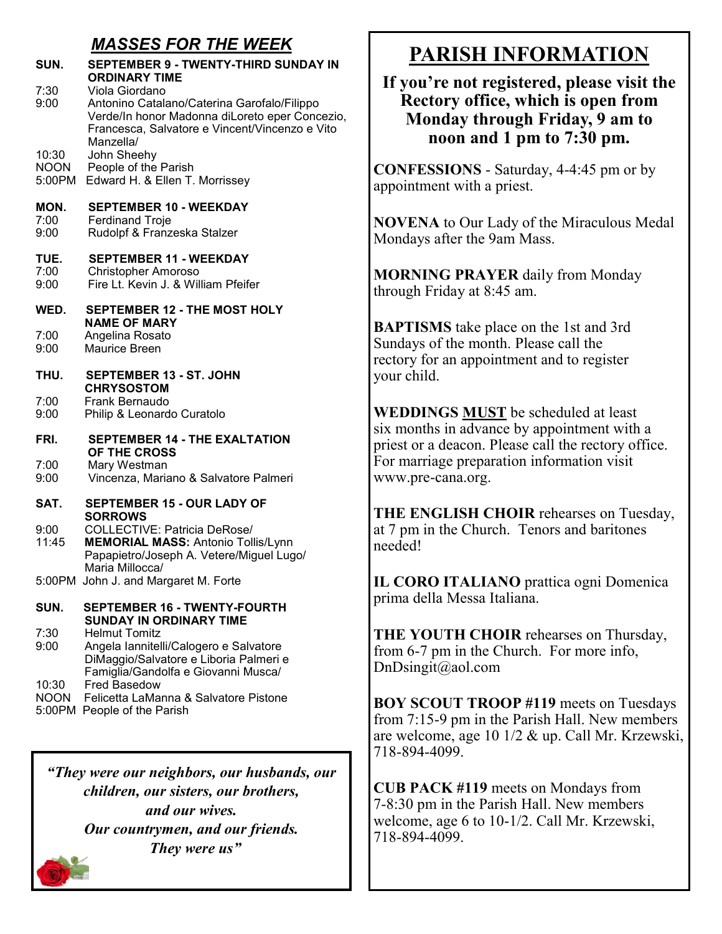## *MASSES FOR THE WEEK*

| SUN.                           | <b>SEPTEMBER 9 - TWENTY-THIRD SUNDAY IN</b><br><b>ORDINARY TIME</b>                                                                                                            |
|--------------------------------|--------------------------------------------------------------------------------------------------------------------------------------------------------------------------------|
| 7:30<br>9:00                   | Viola Giordano<br>Antonino Catalano/Caterina Garofalo/Filippo<br>Verde/In honor Madonna diLoreto eper Concezio,<br>Francesca, Salvatore e Vincent/Vincenzo e Vito<br>Manzella/ |
| 10:30<br><b>NOON</b><br>5:00PM | John Sheehy<br>People of the Parish<br>Edward H. & Ellen T. Morrissey                                                                                                          |
| MON.<br>7:00<br>9:00           | <b>SEPTEMBER 10 - WEEKDAY</b><br><b>Ferdinand Troje</b><br>Rudolpf & Franzeska Stalzer                                                                                         |
| TUE.<br>7:00<br>9:00           | <b>SEPTEMBER 11 - WEEKDAY</b><br><b>Christopher Amoroso</b><br>Fire Lt. Kevin J. & William Pfeifer                                                                             |
| WED.                           | SEPTEMBER 12 - THE MOST HOLY                                                                                                                                                   |
| 7:00<br>9:00                   | <b>NAME OF MARY</b><br>Angelina Rosato<br><b>Maurice Breen</b>                                                                                                                 |
| THU.                           | SEPTEMBER 13 - ST. JOHN<br><b>CHRYSOSTOM</b>                                                                                                                                   |
| 7:00<br>9:00                   | Frank Bernaudo<br>Philip & Leonardo Curatolo                                                                                                                                   |
| FRI.                           | <b>SEPTEMBER 14 - THE EXALTATION</b><br>OF THE CROSS                                                                                                                           |
| 7:00<br>9:00                   | Mary Westman<br>Vincenza, Mariano & Salvatore Palmeri                                                                                                                          |
| SAT.                           | <b>SEPTEMBER 15 - OUR LADY OF</b><br><b>SORROWS</b>                                                                                                                            |
| 9:00<br>11:45                  | <b>COLLECTIVE: Patricia DeRose/</b><br><b>MEMORIAL MASS: Antonio Tollis/Lynn</b><br>Papapietro/Joseph A. Vetere/Miguel Lugo/<br>Maria Millocca/                                |
|                                | 5:00PM John J. and Margaret M. Forte                                                                                                                                           |
| SUN.                           | <b>SEPTEMBER 16 - TWENTY-FOURTH</b><br><b>SUNDAY IN ORDINARY TIME</b>                                                                                                          |
| 7:30<br>9:00                   | <b>Helmut Tomitz</b><br>Angela lannitelli/Calogero e Salvatore<br>DiMaggio/Salvatore e Liboria Palmeri e<br>Famiglia/Gandolfa e Giovanni Musca/                                |
| 10:30<br><b>NOON</b><br>5:00PM | <b>Fred Basedow</b><br>Felicetta LaManna & Salvatore Pistone<br>People of the Parish                                                                                           |

*"They were our neighbors, our husbands, our children, our sisters, our brothers, and our wives. Our countrymen, and our friends. They were us"*

# **PARISH INFORMATION**

### **If you're not registered, please visit the Rectory office, which is open from Monday through Friday, 9 am to noon and 1 pm to 7:30 pm.**

**CONFESSIONS** - Saturday, 4-4:45 pm or by appointment with a priest.

**NOVENA** to Our Lady of the Miraculous Medal Mondays after the 9am Mass.

**MORNING PRAYER** daily from Monday through Friday at 8:45 am.

**BAPTISMS** take place on the 1st and 3rd Sundays of the month. Please call the rectory for an appointment and to register your child.

**WEDDINGS MUST** be scheduled at least six months in advance by appointment with a priest or a deacon. Please call the rectory office. For marriage preparation information visit www.pre-cana.org.

**THE ENGLISH CHOIR** rehearses on Tuesday, at 7 pm in the Church. Tenors and baritones needed!

**IL CORO ITALIANO** prattica ogni Domenica prima della Messa Italiana.

**THE YOUTH CHOIR** rehearses on Thursday, from 6-7 pm in the Church. For more info, DnDsingit@aol.com

**BOY SCOUT TROOP #119** meets on Tuesdays from 7:15-9 pm in the Parish Hall. New members are welcome, age 10 1/2 & up. Call Mr. Krzewski, 718-894-4099.

**CUB PACK #119** meets on Mondays from 7-8:30 pm in the Parish Hall. New members welcome, age 6 to 10-1/2. Call Mr. Krzewski, 718-894-4099.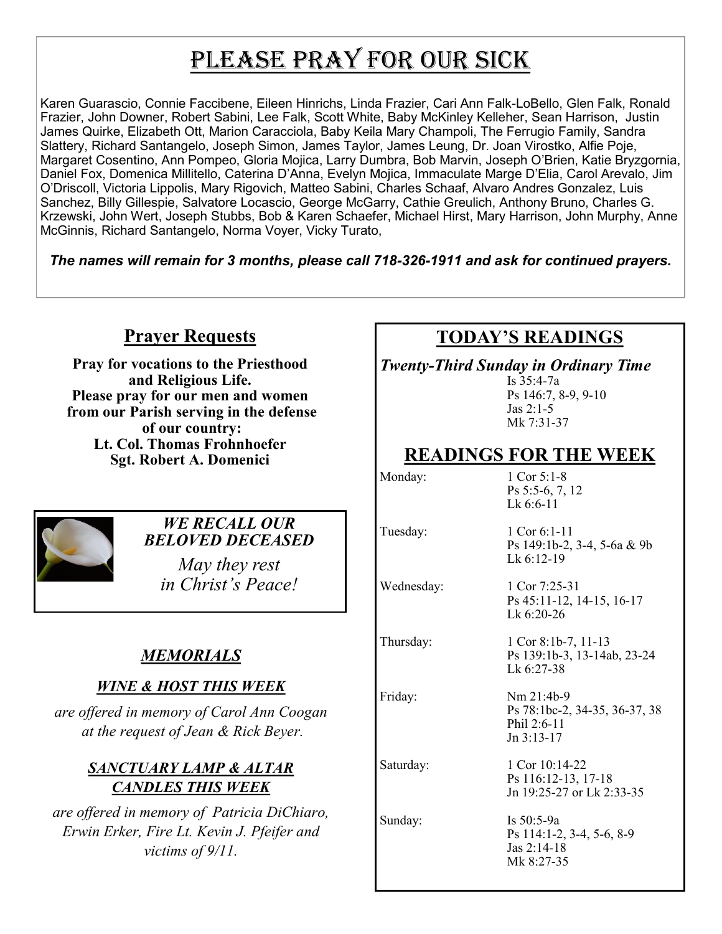# PLEASE PRAY FOR OUR SICK

Karen Guarascio, Connie Faccibene, Eileen Hinrichs, Linda Frazier, Cari Ann Falk-LoBello, Glen Falk, Ronald Frazier, John Downer, Robert Sabini, Lee Falk, Scott White, Baby McKinley Kelleher, Sean Harrison, Justin James Quirke, Elizabeth Ott, Marion Caracciola, Baby Keila Mary Champoli, The Ferrugio Family, Sandra Slattery, Richard Santangelo, Joseph Simon, James Taylor, James Leung, Dr. Joan Virostko, Alfie Poje, Margaret Cosentino, Ann Pompeo, Gloria Mojica, Larry Dumbra, Bob Marvin, Joseph O'Brien, Katie Bryzgornia, Daniel Fox, Domenica Millitello, Caterina D'Anna, Evelyn Mojica, Immaculate Marge D'Elia, Carol Arevalo, Jim O'Driscoll, Victoria Lippolis, Mary Rigovich, Matteo Sabini, Charles Schaaf, Alvaro Andres Gonzalez, Luis Sanchez, Billy Gillespie, Salvatore Locascio, George McGarry, Cathie Greulich, Anthony Bruno, Charles G. Krzewski, John Wert, Joseph Stubbs, Bob & Karen Schaefer, Michael Hirst, Mary Harrison, John Murphy, Anne McGinnis, Richard Santangelo, Norma Voyer, Vicky Turato,

*The names will remain for 3 months, please call 718-326-1911 and ask for continued prayers.*

## **Prayer Requests**

**Pray for vocations to the Priesthood and Religious Life. Please pray for our men and women from our Parish serving in the defense of our country: Lt. Col. Thomas Frohnhoefer Sgt. Robert A. Domenici** 



#### *WE RECALL OUR BELOVED DECEASED*

*May they rest in Christ's Peace!*

## *MEMORIALS*

#### *WINE & HOST THIS WEEK*

*are offered in memory of Carol Ann Coogan at the request of Jean & Rick Beyer.* 

### *SANCTUARY LAMP & ALTAR CANDLES THIS WEEK*

*are offered in memory of Patricia DiChiaro, Erwin Erker, Fire Lt. Kevin J. Pfeifer and victims of 9/11.* 

# **TODAY'S READINGS**

*Twenty-Third Sunday in Ordinary Time* Is 35:4-7a Ps 146:7, 8-9, 9-10 Jas 2:1-5 Mk 7:31-37

# **READINGS FOR THE WEEK**

Ps 5:5-6, 7, 12 Lk 6:6-11

Lk 6:20-26

Jn 3:13-17

Monday: 1 Cor 5:1-8

Tuesday: 1 Cor 6:1-11 Ps 149:1b-2, 3-4, 5-6a & 9b Lk 6:12-19

Ps 45:11-12, 14-15, 16-17

Wednesday: 1 Cor 7:25-31

Thursday: 1 Cor 8:1b-7, 11-13

Lk 6:27-38 Friday: Nm 21:4b-9 Ps 78:1bc-2, 34-35, 36-37, 38 Phil 2:6-11

Ps 139:1b-3, 13-14ab, 23-24

Saturday: 1 Cor 10:14-22 Ps 116:12-13, 17-18 Jn 19:25-27 or Lk 2:33-35

Sunday: Is 50:5-9a Ps 114:1-2, 3-4, 5-6, 8-9 Jas 2:14-18 Mk 8:27-35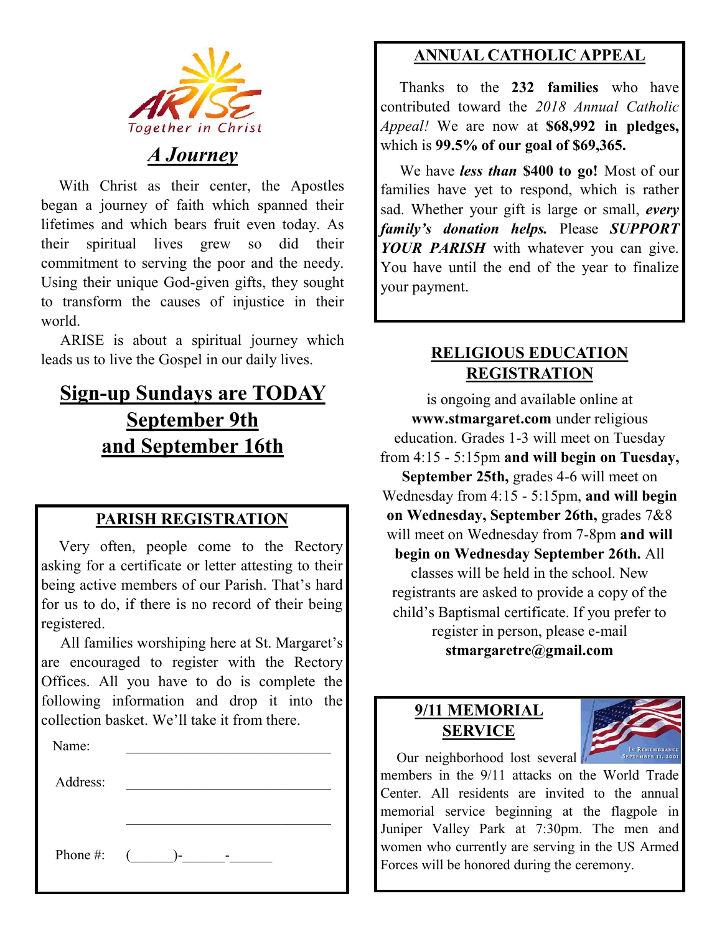

# *A Journey*

 With Christ as their center, the Apostles began a journey of faith which spanned their lifetimes and which bears fruit even today. As their spiritual lives grew so did their commitment to serving the poor and the needy. Using their unique God-given gifts, they sought to transform the causes of injustice in their world.

 ARISE is about a spiritual journey which leads us to live the Gospel in our daily lives.

# **Sign-up Sundays are TODAY September 9th and September 16th**

### **PARISH REGISTRATION**

 Very often, people come to the Rectory asking for a certificate or letter attesting to their being active members of our Parish. That's hard for us to do, if there is no record of their being registered.

 All families worshiping here at St. Margaret's are encouraged to register with the Rectory Offices. All you have to do is complete the following information and drop it into the collection basket. We'll take it from there. Ĭ

| Name:    |                 |
|----------|-----------------|
| Address: |                 |
|          |                 |
|          |                 |
|          | Phone #: $($ )- |
|          |                 |

# **ANNUAL CATHOLIC APPEAL**

 Thanks to the **232 families** who have contributed toward the *2018 Annual Catholic Appeal!* We are now at **\$68,992 in pledges,**  which is **99.5% of our goal of \$69,365.** 

 We have *less than* **\$400 to go!** Most of our families have yet to respond, which is rather sad. Whether your gift is large or small, *every family's donation helps.* Please *SUPPORT YOUR PARISH* with whatever you can give. You have until the end of the year to finalize your payment.

## **RELIGIOUS EDUCATION REGISTRATION**

is ongoing and available online at **www.stmargaret.com** under religious education. Grades 1-3 will meet on Tuesday from 4:15 - 5:15pm **and will begin on Tuesday, September 25th,** grades 4-6 will meet on Wednesday from 4:15 - 5:15pm, **and will begin on Wednesday, September 26th,** grades 7&8 will meet on Wednesday from 7-8pm **and will begin on Wednesday September 26th.** All classes will be held in the school. New registrants are asked to provide a copy of the child's Baptismal certificate. If you prefer to register in person, please e-mail **stmargaretre@gmail.com**

# **9/11 MEMORIAL SERVICE**



Our neighborhood lost several members in the 9/11 attacks on the World Trade Center. All residents are invited to the annual memorial service beginning at the flagpole in Juniper Valley Park at 7:30pm. The men and women who currently are serving in the US Armed Forces will be honored during the ceremony.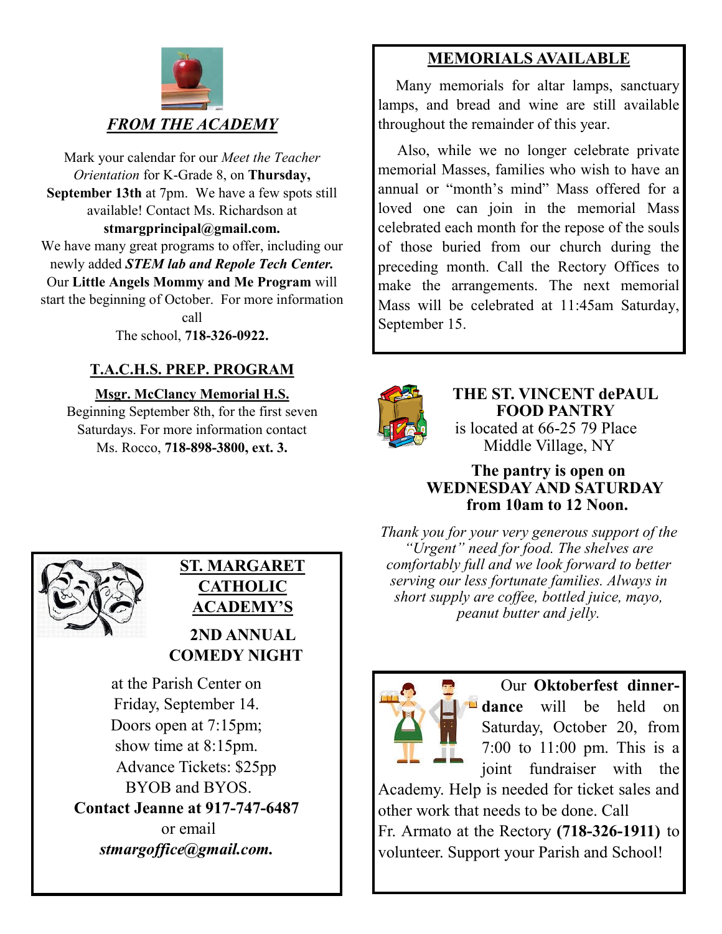

Mark your calendar for our *Meet the Teacher Orientation* for K-Grade 8, on **Thursday, September 13th** at 7pm. We have a few spots still available! Contact Ms. Richardson at **stmargprincipal@gmail.com.** We have many great programs to offer, including our newly added *STEM lab and Repole Tech Center.*  Our **Little Angels Mommy and Me Program** will start the beginning of October. For more information call

The school, **718-326-0922.** 

## **T.A.C.H.S. PREP. PROGRAM**

**Msgr. McClancy Memorial H.S.**

Beginning September 8th, for the first seven Saturdays. For more information contact Ms. Rocco, **718-898-3800, ext. 3.**

# **MEMORIALS AVAILABLE**

Many memorials for altar lamps, sanctuary lamps, and bread and wine are still available throughout the remainder of this year.

 Also, while we no longer celebrate private memorial Masses, families who wish to have an annual or "month's mind" Mass offered for a loved one can join in the memorial Mass celebrated each month for the repose of the souls of those buried from our church during the preceding month. Call the Rectory Offices to make the arrangements. The next memorial Mass will be celebrated at 11:45am Saturday, September 15.



**THE ST. VINCENT dePAUL FOOD PANTRY** is located at 66-25 79 Place Middle Village, NY

#### **The pantry is open on WEDNESDAY AND SATURDAY from 10am to 12 Noon.**

*Thank you for your very generous support of the "Urgent" need for food. The shelves are comfortably full and we look forward to better serving our less fortunate families. Always in short supply are coffee, bottled juice, mayo, peanut butter and jelly.*



 Our **Oktoberfest dinnerdance** will be held on Saturday, October 20, from 7:00 to 11:00 pm. This is a joint fundraiser with the

Academy. Help is needed for ticket sales and other work that needs to be done. Call Fr. Armato at the Rectory **(718-326-1911)** to volunteer. Support your Parish and School!



## **ST. MARGARET CATHOLIC ACADEMY'S 2ND ANNUAL**

 **COMEDY NIGHT**

at the Parish Center on Friday, September 14. Doors open at 7:15pm; show time at 8:15pm. Advance Tickets: \$25pp BYOB and BYOS. **Contact Jeanne at 917-747-6487** or email *stmargoffice@gmail.com.*